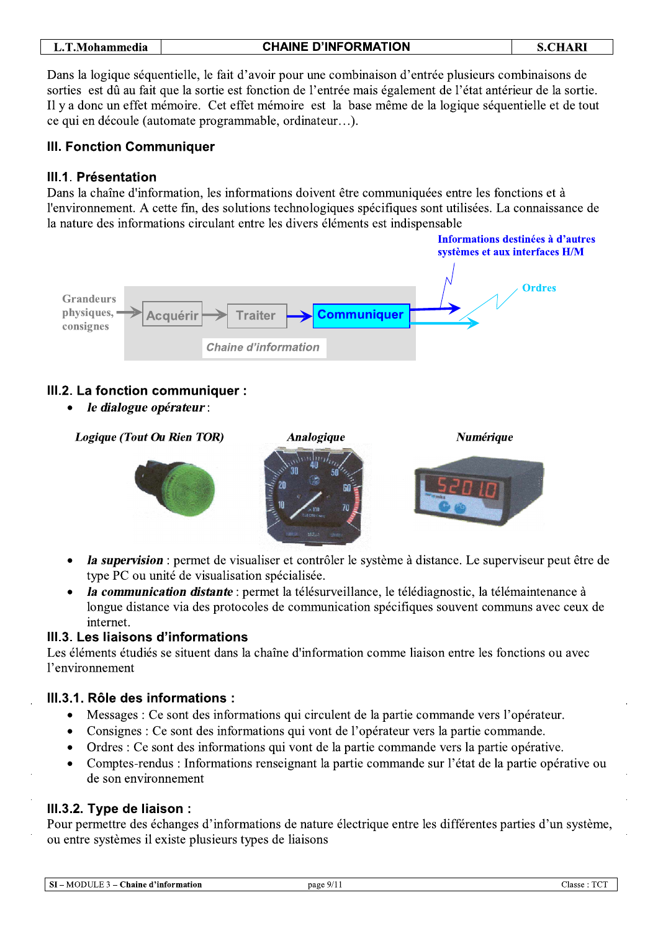| L.T.Mohammedia | <b>CHAINE D'INFORMATION</b> | <b>S.CHARI</b> |
|----------------|-----------------------------|----------------|

Dans la logique séquentielle, le fait d'avoir pour une combinaison d'entrée plusieurs combinaisons de sorties est dû au fait que la sortie est fonction de l'entrée mais également de l'état antérieur de la sortie. Il y a donc un effet mémoire. Cet effet mémoire est la base même de la logique séquentielle et de tout ce qui en découle (automate programmable, ordinateur...).

# **III. Fonction Communiquer**

# III.1. Présentation

Dans la chaîne d'information, les informations doivent être communiquées entre les fonctions et à l'environnement. A cette fin, des solutions technologiques spécifiques sont utilisées. La connaissance de la nature des informations circulant entre les divers éléments est indispensable



# III.2. La fonction communiquer :

le dialogue opérateur :



- la supervision : permet de visualiser et contrôler le système à distance. Le superviseur peut être de type PC ou unité de visualisation spécialisée.
- la communication distante : permet la télésurveillance, le télédiagnostic, la télémaintenance à longue distance via des protocoles de communication spécifiques souvent communs avec ceux de internet.

## III.3. Les liaisons d'informations

Les éléments étudiés se situent dans la chaîne d'information comme liaison entre les fonctions ou avec l'environnement

## III.3.1. Rôle des informations :

- Messages : Ce sont des informations qui circulent de la partie commande vers l'opérateur.  $\bullet$
- Consignes : Ce sont des informations qui vont de l'opérateur vers la partie commande.  $\bullet$
- Ordres : Ce sont des informations qui vont de la partie commande vers la partie opérative.  $\bullet$
- Comptes-rendus : Informations renseignant la partie commande sur l'état de la partie opérative ou de son environnement

# III.3.2. Type de liaison :

Pour permettre des échanges d'informations de nature électrique entre les différentes parties d'un système, ou entre systèmes il existe plusieurs types de liaisons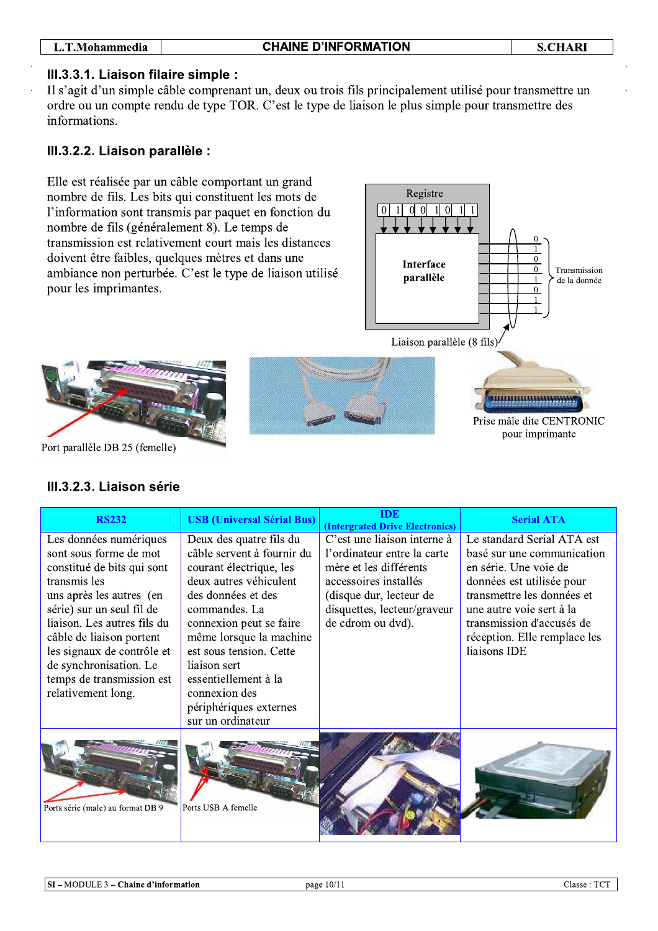#### L.T.Mohammedia

### III.3.3.1. Liaison filaire simple :

Il s'agit d'un simple câble comprenant un, deux ou trois fils principalement utilisé pour transmettre un ordre ou un compte rendu de type TOR. C'est le type de liaison le plus simple pour transmettre des informations.

### III.3.2.2. Liaison parallèle :

Elle est réalisée par un câble comportant un grand nombre de fils. Les bits qui constituent les mots de l'information sont transmis par paquet en fonction du nombre de fils (généralement 8). Le temps de transmission est relativement court mais les distances doivent être faibles, quelques mètres et dans une ambiance non perturbée. C'est le type de liaison utilisé pour les imprimantes.



Port parallèle DB 25 (femelle)

# III.3.2.3. Liaison série

| <b>RS232</b>                                                                                                                                                                                                                                                                                                                  | <b>USB</b> (Universal Sérial Bus)                                                                                                                                                                                                                                                           | <b>IDE</b><br><b>(Intergrated Drive Electronics)</b>                                                                                                                                         | <b>Serial ATA</b>                                                                                                                                                                                                                                     |
|-------------------------------------------------------------------------------------------------------------------------------------------------------------------------------------------------------------------------------------------------------------------------------------------------------------------------------|---------------------------------------------------------------------------------------------------------------------------------------------------------------------------------------------------------------------------------------------------------------------------------------------|----------------------------------------------------------------------------------------------------------------------------------------------------------------------------------------------|-------------------------------------------------------------------------------------------------------------------------------------------------------------------------------------------------------------------------------------------------------|
| Les données numériques<br>sont sous forme de mot<br>constitué de bits qui sont<br>transmis les<br>uns après les autres (en<br>série) sur un seul fil de<br>liaison. Les autres fils du<br>câble de liaison portent<br>les signaux de contrôle et<br>de synchronisation. Le<br>temps de transmission est<br>relativement long. | Deux des quatre fils du<br>câble servent à fournir du<br>courant électrique, les<br>deux autres véhiculent<br>des données et des<br>commandes. La<br>connexion peut se faire<br>même lorsque la machine<br>est sous tension. Cette<br>liaison sert<br>essentiellement à la<br>connexion des | C'est une liaison interne à<br>l'ordinateur entre la carte<br>mère et les différents<br>accessoires installés<br>(disque dur, lecteur de<br>disquettes, lecteur/graveur<br>de cdrom ou dvd). | Le standard Serial ATA est<br>basé sur une communication<br>en série. Une voie de<br>données est utilisée pour<br>transmettre les données et<br>une autre voie sert à la<br>transmission d'accusés de<br>réception. Elle remplace les<br>liaisons IDE |
|                                                                                                                                                                                                                                                                                                                               | périphériques externes<br>sur un ordinateur                                                                                                                                                                                                                                                 |                                                                                                                                                                                              |                                                                                                                                                                                                                                                       |
| Ports série (male) au format DB 9                                                                                                                                                                                                                                                                                             | Ports USB A femelle                                                                                                                                                                                                                                                                         |                                                                                                                                                                                              |                                                                                                                                                                                                                                                       |